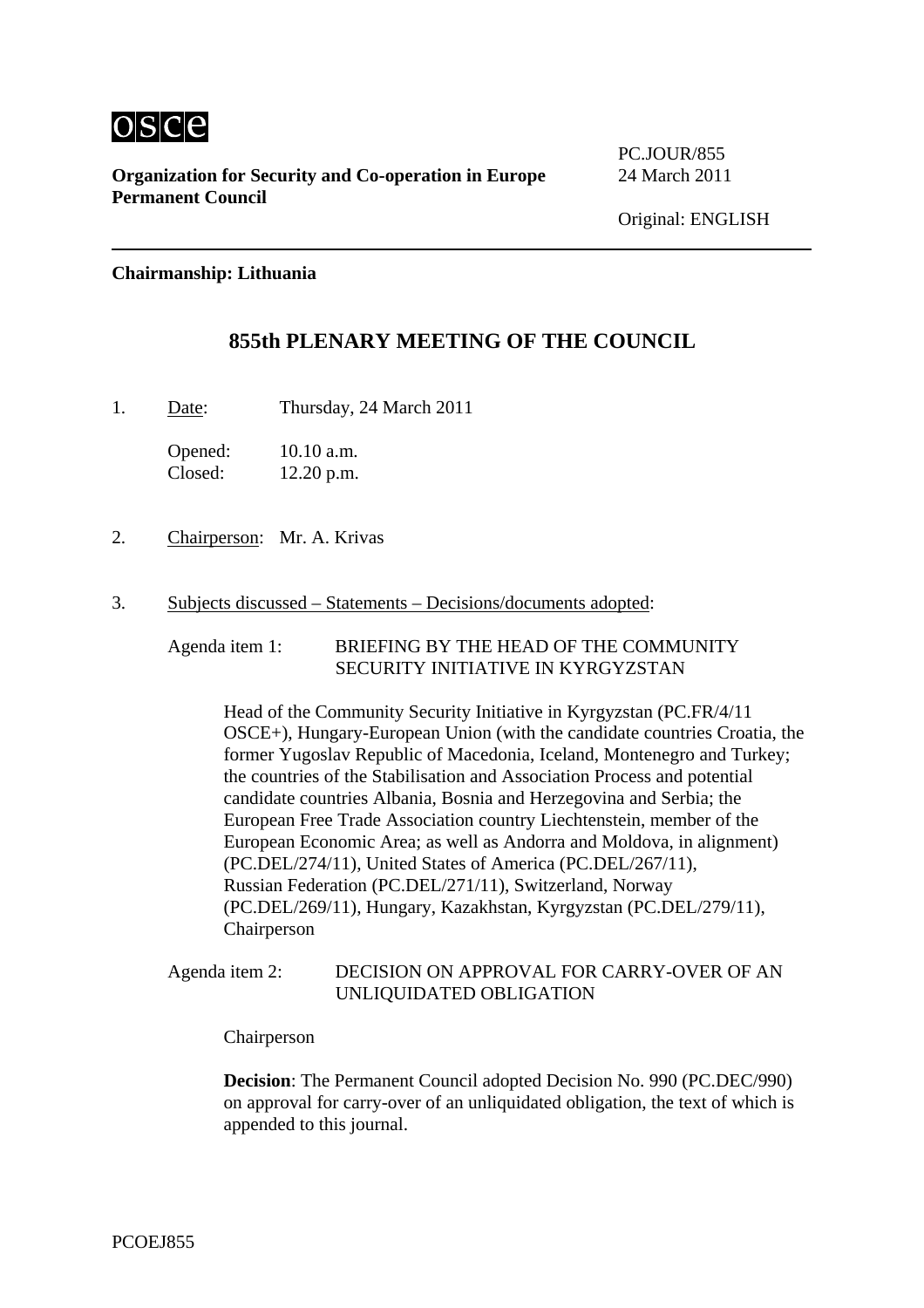

**Organization for Security and Co-operation in Europe** 24 March 2011 **Permanent Council** 

PC.JOUR/855

**Chairmanship: Lithuania** 

# **855th PLENARY MEETING OF THE COUNCIL**

1. Date: Thursday, 24 March 2011

Opened: 10.10 a.m. Closed: 12.20 p.m.

- 2. Chairperson: Mr. A. Krivas
- 3. Subjects discussed Statements Decisions/documents adopted:

Agenda item 1: BRIEFING BY THE HEAD OF THE COMMUNITY SECURITY INITIATIVE IN KYRGYZSTAN

Head of the Community Security Initiative in Kyrgyzstan (PC.FR/4/11 OSCE+), Hungary-European Union (with the candidate countries Croatia, the former Yugoslav Republic of Macedonia, Iceland, Montenegro and Turkey; the countries of the Stabilisation and Association Process and potential candidate countries Albania, Bosnia and Herzegovina and Serbia; the European Free Trade Association country Liechtenstein, member of the European Economic Area; as well as Andorra and Moldova, in alignment) (PC.DEL/274/11), United States of America (PC.DEL/267/11), Russian Federation (PC.DEL/271/11), Switzerland, Norway (PC.DEL/269/11), Hungary, Kazakhstan, Kyrgyzstan (PC.DEL/279/11), Chairperson

#### Agenda item 2: DECISION ON APPROVAL FOR CARRY-OVER OF AN UNLIQUIDATED OBLIGATION

Chairperson

**Decision**: The Permanent Council adopted Decision No. 990 (PC.DEC/990) on approval for carry-over of an unliquidated obligation, the text of which is appended to this journal.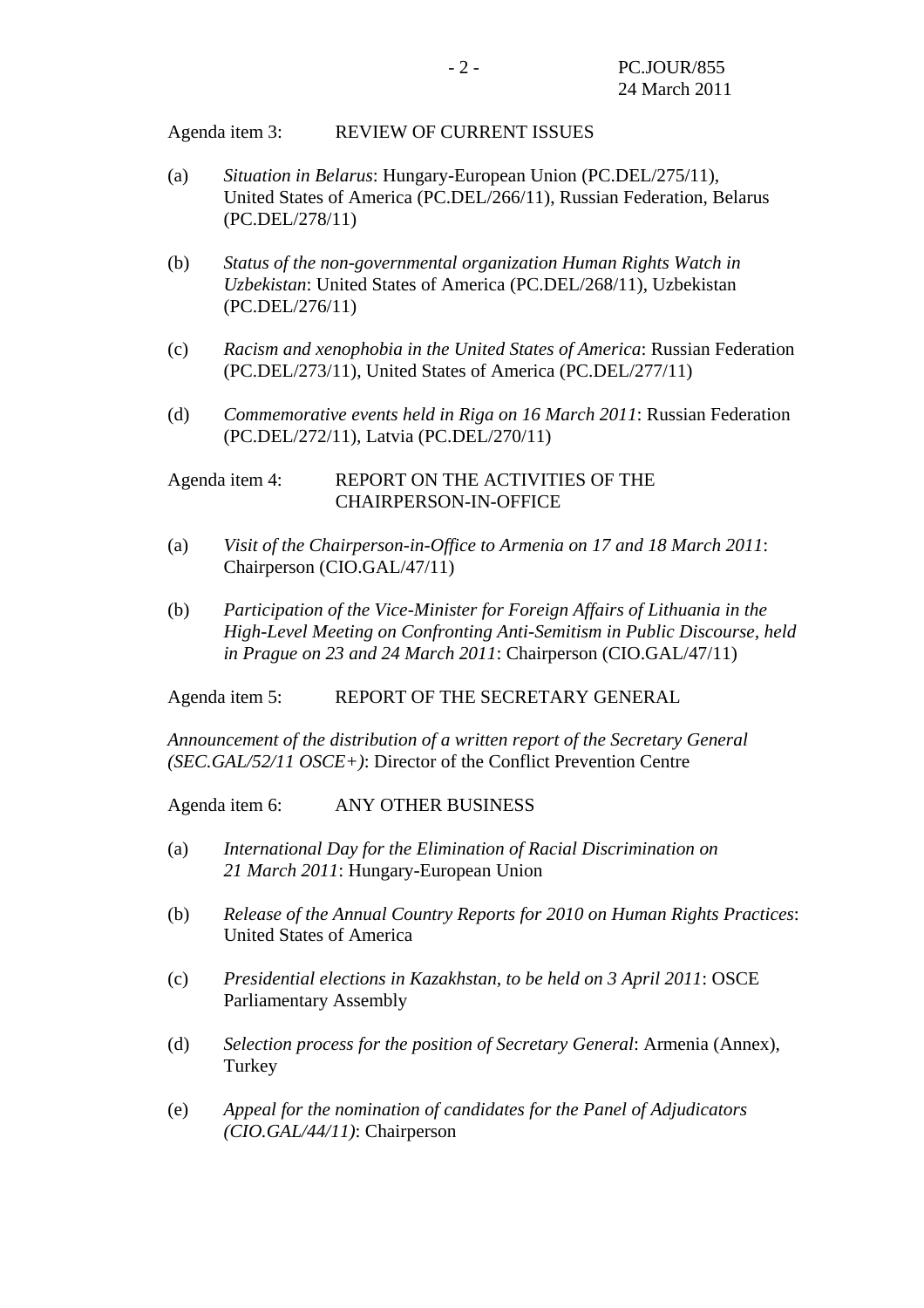Agenda item 3: REVIEW OF CURRENT ISSUES

- (a) *Situation in Belarus*: Hungary-European Union (PC.DEL/275/11), United States of America (PC.DEL/266/11), Russian Federation, Belarus (PC.DEL/278/11)
- (b) *Status of the non-governmental organization Human Rights Watch in Uzbekistan*: United States of America (PC.DEL/268/11), Uzbekistan (PC.DEL/276/11)
- (c) *Racism and xenophobia in the United States of America*: Russian Federation (PC.DEL/273/11), United States of America (PC.DEL/277/11)
- (d) *Commemorative events held in Riga on 16 March 2011*: Russian Federation (PC.DEL/272/11), Latvia (PC.DEL/270/11)

#### Agenda item 4: REPORT ON THE ACTIVITIES OF THE CHAIRPERSON-IN-OFFICE

- (a) *Visit of the Chairperson-in-Office to Armenia on 17 and 18 March 2011*: Chairperson (CIO.GAL/47/11)
- (b) *Participation of the Vice-Minister for Foreign Affairs of Lithuania in the High-Level Meeting on Confronting Anti-Semitism in Public Discourse, held in Prague on 23 and 24 March 2011*: Chairperson (CIO.GAL/47/11)

Agenda item 5: REPORT OF THE SECRETARY GENERAL

*Announcement of the distribution of a written report of the Secretary General (SEC.GAL/52/11 OSCE+)*: Director of the Conflict Prevention Centre

Agenda item 6: ANY OTHER BUSINESS

- (a) *International Day for the Elimination of Racial Discrimination on 21 March 2011*: Hungary-European Union
- (b) *Release of the Annual Country Reports for 2010 on Human Rights Practices*: United States of America
- (c) *Presidential elections in Kazakhstan, to be held on 3 April 2011*: OSCE Parliamentary Assembly
- (d) *Selection process for the position of Secretary General*: Armenia (Annex), Turkey
- (e) *Appeal for the nomination of candidates for the Panel of Adjudicators (CIO.GAL/44/11)*: Chairperson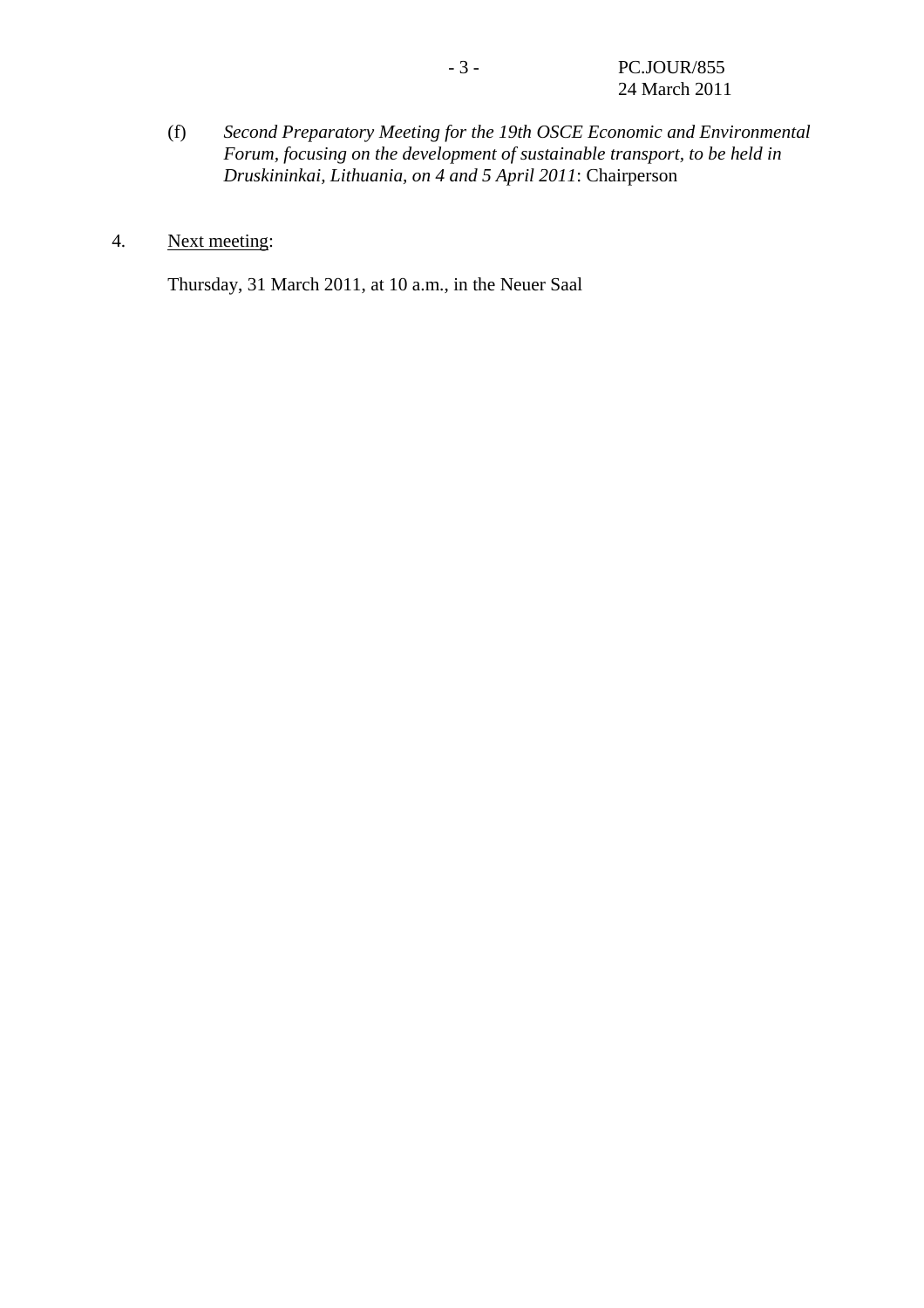(f) *Second Preparatory Meeting for the 19th OSCE Economic and Environmental Forum, focusing on the development of sustainable transport, to be held in Druskininkai, Lithuania, on 4 and 5 April 2011*: Chairperson

### 4. Next meeting:

Thursday, 31 March 2011, at 10 a.m., in the Neuer Saal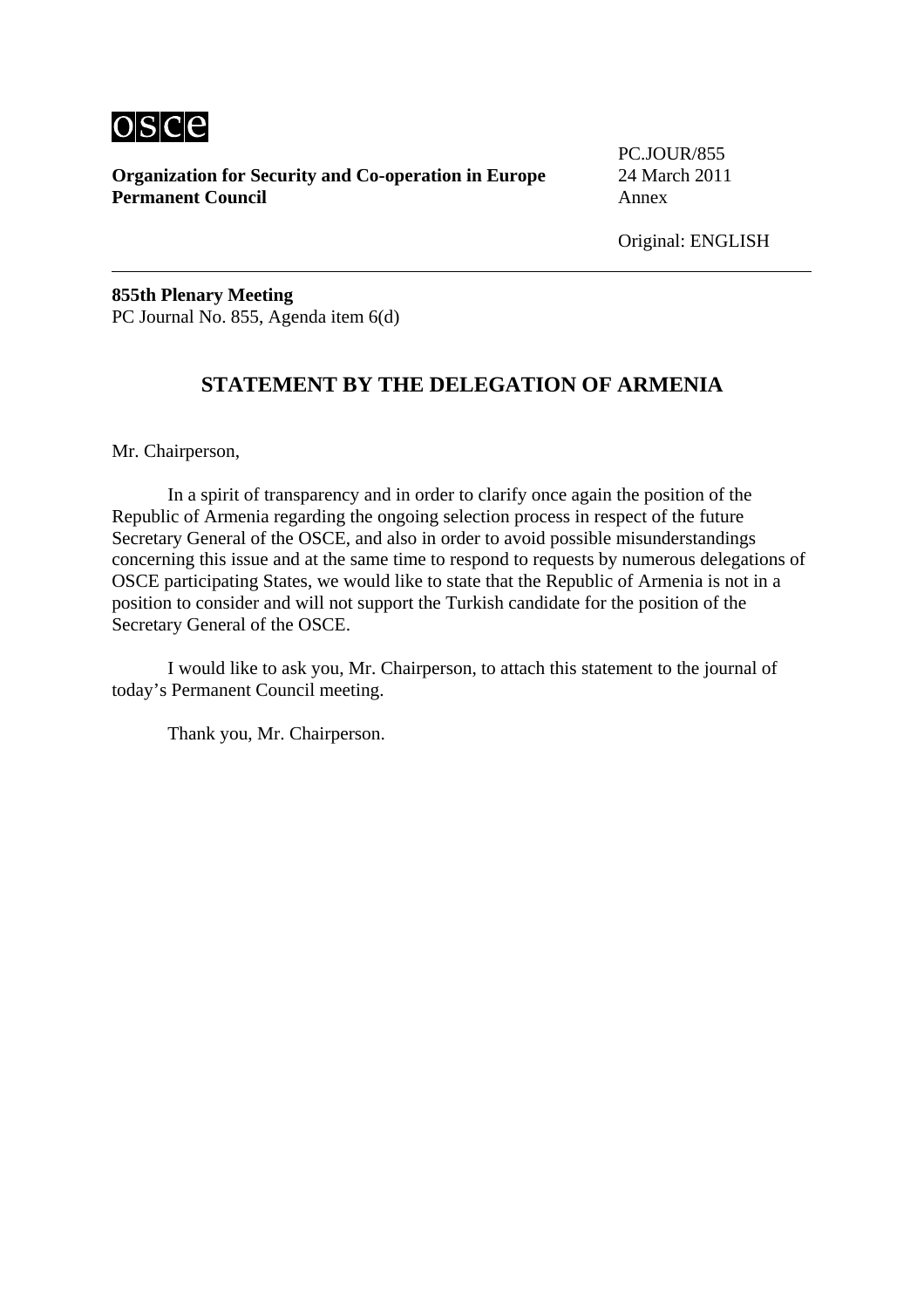

**Organization for Security and Co-operation in Europe** 24 March 2011 **Permanent Council Annex** 

PC.JOUR/855

**855th Plenary Meeting**  PC Journal No. 855, Agenda item 6(d)

### **STATEMENT BY THE DELEGATION OF ARMENIA**

Mr. Chairperson,

 In a spirit of transparency and in order to clarify once again the position of the Republic of Armenia regarding the ongoing selection process in respect of the future Secretary General of the OSCE, and also in order to avoid possible misunderstandings concerning this issue and at the same time to respond to requests by numerous delegations of OSCE participating States, we would like to state that the Republic of Armenia is not in a position to consider and will not support the Turkish candidate for the position of the Secretary General of the OSCE.

 I would like to ask you, Mr. Chairperson, to attach this statement to the journal of today's Permanent Council meeting.

Thank you, Mr. Chairperson.